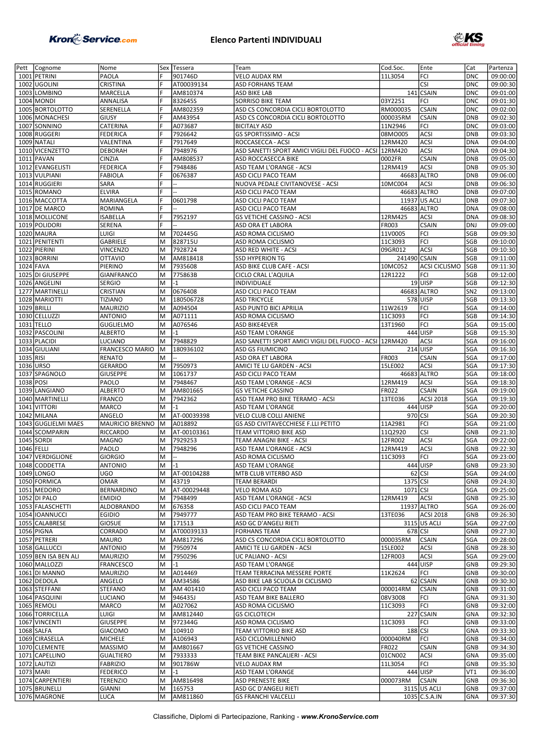

|           | Pett Cognome         | Nome                   |    | Sex Tessera | Team                                                    | Cod.Soc.     | Ente                 | Cat             | Partenza |
|-----------|----------------------|------------------------|----|-------------|---------------------------------------------------------|--------------|----------------------|-----------------|----------|
|           | 1001 PETRINI         | PAOLA                  |    | 901746D     | VELO AUDAX RM                                           | 11L3054      | FCI                  | <b>DNC</b>      | 09:00:00 |
|           | 1002 UGOLINI         | CRISTINA               |    | AT00039134  | ASD FORHANS TEAM                                        |              | <b>CSI</b>           | <b>DNC</b>      | 09:00:30 |
|           | 1003 LOMBINO         | MARCELLA               |    | AM810374    | ASD BIKE LAB                                            |              | 141 CSAIN            | <b>DNC</b>      | 09:01:00 |
|           | 1004 MONDI           | ANNALISA               |    | 832645S     | SORRISO BIKE TEAM                                       | 03Y2251      | FCI                  | <b>DNC</b>      | 09:01:30 |
|           | 1005 BORTOLOTTO      | SERENELLA              |    | AM802359    | ASD CS CONCORDIA CICLI BORTOLOTTO                       | RM000035     | <b>CSAIN</b>         | <b>DNC</b>      | 09:02:00 |
|           | 1006 MONACHESI       | GIUSY                  |    | AM43954     | ASD CS CONCORDIA CICLI BORTOLOTTO                       | 000035RM     | <b>CSAIN</b>         | DNB             | 09:02:30 |
|           | 1007 SONNINO         |                        |    |             |                                                         |              | FCI                  |                 |          |
|           |                      | CATERINA               |    | A073687     | <b>BICITALY ASD</b>                                     | 11N2946      |                      | <b>DNC</b>      | 09:03:00 |
|           | 1008 RUGGERI         | <b>FEDERICA</b>        |    | 7926642     | <b>GS SPORTISSIMO - ACSI</b>                            | 08MO005      | <b>ACSI</b>          | <b>DNB</b>      | 09:03:30 |
|           | 1009 NATALI          | VALENTINA              |    | 7917649     | ROCCASECCA - ACSI                                       | 12RM420      | <b>ACSI</b>          | <b>DNA</b>      | 09:04:00 |
|           | 1010 VICENZETTO      | <b>DEBORAH</b>         |    | 7948976     | ASD SANETTI SPORT AMICI VIGILI DEL FUOCO - ACSI 12RM420 |              | ACSI                 | <b>DNA</b>      | 09:04:30 |
|           | 1011 PAVAN           | <b>CINZIA</b>          |    | AM808537    | ASD ROCCASECCA BIKE                                     | 0002FR       | <b>CSAIN</b>         | <b>DNB</b>      | 09:05:00 |
|           | 1012 EVANGELISTI     | <b>FEDERICA</b>        |    | 7948486     | ASD TEAM L'ORANGE - ACSI                                | 12RM419      | ACSI                 | <b>DNB</b>      | 09:05:30 |
|           | 1013 VULPIANI        | <b>FABIOLA</b>         |    | 0676387     | ASD CICLI PACO TEAM                                     |              | 46683 ALTRO          | <b>DNB</b>      | 09:06:00 |
|           | 1014 RUGGIERI        | SARA                   |    | ÷,          | NUOVA PEDALE CIVITANOVESE - ACSI                        | 10MC004      | <b>ACSI</b>          | <b>DNB</b>      | 09:06:30 |
|           | 1015 ROMANO          | <b>ELVIRA</b>          |    | u.          | ASD CICLI PACO TEAM                                     |              | 46683 ALTRO          | <b>DNB</b>      | 09:07:00 |
|           | 1016 MACCOTTA        | MARIANGELA             |    | 0601798     | ASD CICLI PACO TEAM                                     |              | 11937 US ACLI        | <b>DNB</b>      | 09:07:30 |
|           | 1017 DE MARCO        | <b>ROMINA</b>          |    | ä,          | ASD CICLI PACO TEAM                                     |              | 46683 ALTRO          | <b>DNA</b>      | 09:08:00 |
|           | 1018 MOLLICONE       | <b>ISABELLA</b>        |    | 7952197     | <b>GS VETICHE CASSINO - ACSI</b>                        | 12RM425      | <b>ACSI</b>          | DNA             | 09:08:30 |
|           | 1019 POLIDORI        | SERENA                 |    | н.          | ASD ORA ET LABORA                                       | <b>FR003</b> | <b>CSAIN</b>         | <b>DNJ</b>      | 09:09:00 |
|           | 1020 MAURA           | LUIGI                  | M  | 702445G     | ASD ROMA CICLISMO                                       | 11V0005      | FCI                  | SGB             | 09:09:30 |
|           | 1021 PENITENTI       | GABRIELE               | M  | 828715U     | ASD ROMA CICLISMO                                       | 11C3093      | FCI                  | SGB             | 09:10:00 |
|           |                      |                        |    |             |                                                         |              |                      |                 |          |
|           | 1022 PIERINI         | <b>VINCENZO</b>        | M  | 7928724     | ASD RED WHITE - ACSI                                    | 09GR012      | <b>ACSI</b>          | SGB             | 09:10:30 |
|           | 1023 BORRINI         | <b>OTTAVIO</b>         | M  | AM818418    | <b>SSD HYPERION TG</b>                                  | 241490 CSAIN |                      | SGB             | 09:11:00 |
|           | 1024 FAVA            | PIERINO                | M  | 7935608     | ASD BIKE CLUB CAFE - ACSI                               | 10MC052      | <b>ACSI CICLISMO</b> | SGB             | 09:11:30 |
|           | 1025 DI GIUSEPPE     | <b>GIANFRANCO</b>      | M  | 775863B     | CICLO CRAL L'AQUILA                                     | 12R1222      | FCI                  | SGB             | 09:12:00 |
|           | 1026 ANGELINI        | SERGIO                 | M  | $-1$        | INDIVIDUALE                                             |              | $19$ UISP            | SGB             | 09:12:30 |
|           | 1277 MARTINELLI      | CRISTIAN               | M  | 0676408     | ASD CICLI PACO TEAM                                     |              | 46683 ALTRO          | SN <sub>2</sub> | 09:13:00 |
|           | 1028 MARIOTTI        | <b>TIZIANO</b>         | M  | 180506728   | <b>ASD TRICYCLE</b>                                     |              | 578 UISP             | SGB             | 09:13:30 |
|           | 1029 BRILLI          | <b>MAURIZIO</b>        | M  | A094504     | ASD PUNTO BICI APRILIA                                  | 11W2619      | FCI                  | SGA             | 09:14:00 |
|           | 1030 CELLUZZI        | <b>ANTONIO</b>         | M  | A071111     | ASD ROMA CICLISMO                                       | 11C3093      | FCI                  | SGB             | 09:14:30 |
|           | 1031 TELLO           | <b>GUGLIELMO</b>       | M  | A076546     | <b>ASD BIKE4EVER</b>                                    | 13T1960      | FCI                  | SGA             | 09:15:00 |
|           | 1032 PASCOLINI       | ALBERTO                | M  | $-1$        | ASD TEAM L'ORANGE                                       |              | 444 UISP             | SGB             | 09:15:30 |
|           | 1033 PLACIDI         | LUCIANO                | М  | 7948829     | ASD SANETTI SPORT AMICI VIGILI DEL FUOCO - ACSI 12RM420 |              | <b>ACSI</b>          | SGA             | 09:16:00 |
|           | 1034 GIULIANI        | FRANCESCO MARIO        | M  | 180936102   | ASD GS FIUMICINO                                        |              | $214$ UISP           | SGA             | 09:16:30 |
| 1035 RISI |                      | <b>RENATO</b>          | M  | u,          | ASD ORA ET LABORA                                       | <b>FR003</b> | <b>CSAIN</b>         | <b>SGA</b>      | 09:17:00 |
|           |                      |                        | M  |             |                                                         | 15LE002      |                      |                 |          |
|           | 1036 URSO            | <b>GERARDO</b>         |    | 7950973     | AMICI TE LU GARDEN - ACSI                               |              | <b>ACSI</b>          | SGA             | 09:17:30 |
|           | 1037 SPAGNOLO        | <b>GIUSEPPE</b>        | M  | 1061737     | ASD CICLI PACO TEAM                                     |              | 46683 ALTRO          | SGA             | 09:18:00 |
| 1038 POSI |                      | PAOLO                  | M  | 7948467     | ASD TEAM L'ORANGE - ACSI                                | 12RM419      | <b>ACSI</b>          | SGA             | 09:18:30 |
|           | 1039 LANGIANO        | ALBERTO                | M  | AM801665    | <b>GS VETICHE CASSINO</b>                               | FR022        | <b>CSAIN</b>         | SGA             | 09:19:00 |
|           | 1040 MARTINELLI      | <b>FRANCO</b>          | M  | 7942362     | ASD TEAM PRO BIKE TERAMO - ACSI                         | 13TE036      | <b>ACSI 2018</b>     | SGA             | 09:19:30 |
|           | 1041 VITTORI         | <b>MARCO</b>           | M  | $-1$        | <b>ASD TEAM L'ORANGE</b>                                |              | 444 UISP             | <b>SGA</b>      | 09:20:00 |
|           | 1042 MILANA          | ANGELO                 | M  | AT-00039398 | VELO CLUB COLLI ANIENE                                  | 970 CSI      |                      | SGA             | 09:20:30 |
|           | 1043 GUGLIELMI MAES  | <b>MAURICIO BRENNO</b> | lм | A018892     | GS ASD CIVITAVECCHIESE F.LLI PETITO                     | 11A2981      | FCI                  | <b>SGA</b>      | 09:21:00 |
|           | 1044 SCOMPARIN       | RICCARDO               | M  | AT-00103361 | TEAM VITTORIO BIKE ASD                                  | 11Q2920      | <b>CSI</b>           | <b>GNB</b>      | 09:21:30 |
|           | 1045 SORDI           | <b>MAGNO</b>           | м  | 7929253     | TEAM ANAGNI BIKE - ACSI                                 | 12FR002      | <b>ACSI</b>          | SGA             | 09:22:00 |
|           | 1046 FELLI           | PAOLO                  | M  | 7948296     | ASD TEAM L'ORANGE - ACSI                                | 12RM419      | <b>ACSI</b>          | <b>GNB</b>      | 09:22:30 |
|           | 1047 VERDIGLIONE     | <b>GIORGIO</b>         | M  | ш,          | ASD ROMA CICLISMO                                       | 11C3093      | FCI                  | SGA             | 09:23:00 |
|           | 1048 CODDETTA        | ANTONIO                | IM | $ -1 $      | ASD TEAM L'ORANGE                                       |              | 444 JUISP            | GNB             | 09:23:30 |
|           | 1049 LONGO           | UGO                    | M  | AT-00104288 | MTB CLUB VITERBO ASD                                    |              | $62$ CSI             | <b>SGA</b>      | 09:24:00 |
|           | 1050 FORMICA         | <b>OMAR</b>            | M  | 43719       | TEAM BERARDI                                            | $1375$ CSI   |                      | GNB             | 09:24:30 |
|           | 1051 MEDORO          | <b>BERNARDINO</b>      | М  | AT-00029448 | <b>VELO ROMA ASD</b>                                    | 1071 CSI     |                      | <b>SGA</b>      | 09:25:00 |
|           |                      |                        | M  |             |                                                         |              |                      |                 |          |
|           | 1052 DI PALO         | <b>EMIDIO</b>          |    | 7948499     | ASD TEAM L'ORANGE - ACSI                                | 12RM419      | <b>ACSI</b>          | GNB             | 09:25:30 |
|           | 1053 FALASCHETTI     | <b>ALDOBRANDO</b>      | M  | 676358      | ASD CICLI PACO TEAM                                     |              | 11937 ALTRO          | SGA             | 09:26:00 |
|           | 1054   IOANNUCCI     | <b>EGIDIO</b>          | М  | 7949777     | ASD TEAM PRO BIKE TERAMO - ACSI                         | 13TE036      | <b>ACSI 2018</b>     | GNB             | 09:26:30 |
|           | 1055 CALABRESE       | <b>GIOSUE</b>          | M  | 171513      | ASD GC D'ANGELI RIETI                                   |              | 3115 US ACLI         | <b>SGA</b>      | 09:27:00 |
|           | 1056 PIGNA           | CORRADO                | М  | AT00039133  | <b>FORHANS TEAM</b>                                     | $678$ CSI    |                      | GNB             | 09:27:30 |
|           | 1057 PETRERI         | <b>MAURO</b>           | М  | AM817296    | ASD CS CONCORDIA CICLI BORTOLOTTO                       | 000035RM     | <b>CSAIN</b>         | SGA             | 09:28:00 |
|           | 1058 GALLUCCI        | <b>ANTONIO</b>         | М  | 7950974     | AMICI TE LU GARDEN - ACSI                               | 15LE002      | ACSI                 | GNB             | 09:28:30 |
|           | 1059 BEN ISA BEN ALI | <b>MAURIZIO</b>        | М  | 7950296     | UC PALIANO - ACSI                                       | 12FR003      | ACSI                 | <b>SGA</b>      | 09:29:00 |
|           | 1060 MALLOZZI        | <b>FRANCESCO</b>       | М  | $-1$        | ASD TEAM L'ORANGE                                       |              | 444 UISP             | GNB             | 09:29:30 |
|           | 1061 DI MANNO        | <b>MAURIZIO</b>        | M  | A014469     | TEAM TERRACINA MESSERE PORTE                            | 11K2624      | FCI                  | GNB             | 09:30:00 |
|           | 1062 DEDOLA          | ANGELO                 | M  | AM34586     | ASD BIKE LAB SCUOLA DI CICLISMO                         |              | 62 CSAIN             | GNB             | 09:30:30 |
|           | 1063 STEFFANI        | <b>STEFANO</b>         | М  | AM 401410   | ASD CICLI PACO TEAM                                     | 000014RM     | <b>CSAIN</b>         | GNB             | 09:31:00 |
|           | 1064 PASQUINI        | LUCIANO                | M  | 946435J     | ASD TEAM BIKE BALLERO                                   | 08V3008      | FCI                  | GNA             | 09:31:30 |
|           | 1065 REMOLI          | <b>MARCO</b>           | M  | A027062     | ASD ROMA CICLISMO                                       | 11C3093      | FCI                  | GNB             | 09:32:00 |
|           | 1066 TORRICELLA      | LUIGI                  | M  | AM812440    | <b>GS CICLOTECH</b>                                     |              | 227 CSAIN            | <b>GNA</b>      | 09:32:30 |
|           | 1067 VINCENTI        | <b>GIUSEPPE</b>        | М  | 972344G     | ASD ROMA CICLISMO                                       | 11C3093      | FCI                  | GNB             | 09:33:00 |
|           | 1068 SALFA           | <b>GIACOMO</b>         | M  | 104910      | TEAM VITTORIO BIKE ASD                                  | $188$ CSI    |                      | GNA             | 09:33:30 |
|           | 1069 CIRASELLA       |                        | М  | A106943     |                                                         | 000040RM     | FCI                  | GNB             |          |
|           |                      | <b>MICHELE</b>         |    |             | ASD CICLOMILLENNIO                                      |              |                      |                 | 09:34:00 |
|           | 1070 CLEMENTE        | <b>MASSIMO</b>         | М  | AM801667    | <b>GS VETICHE CASSINO</b>                               | <b>FR022</b> | <b>CSAIN</b>         | GNB             | 09:34:30 |
|           | 1071 CAPELLINO       | <b>GUALTIERO</b>       | M  | 7933333     | TEAM BIKE PANCALIERI - ACSI                             | 01CN002      | ACSI                 | GNA             | 09:35:00 |
|           | 1072 LAUTIZI         | <b>FABRIZIO</b>        | М  | 901786W     | VELO AUDAX RM                                           | 11L3054      | FCI                  | GNB             | 09:35:30 |
|           | 1073 MARI            | <b>FEDERICO</b>        | M  | $-1$        | ASD TEAM L'ORANGE                                       |              | 444 UISP             | VT1             | 09:36:00 |
|           | 1074 CARPENTIERI     | <b>TERENZIO</b>        | М  | AM816498    | ASD PRENESTE BIKE                                       | 000073RM     | <b>CSAIN</b>         | GNB             | 09:36:30 |
|           | 1075 BRUNELLI        | GIANNI                 | M  | 165753      | ASD GC D'ANGELI RIETI                                   |              | 3115 US ACLI         | GNB             | 09:37:00 |
|           | 1076 MAGRONE         | LUCA                   | М  | AM811860    | <b>GS FRANCHI VALCELLI</b>                              |              | $1035$ C.S.A.IN      | GNA             | 09:37:30 |
|           |                      |                        |    |             |                                                         |              |                      |                 |          |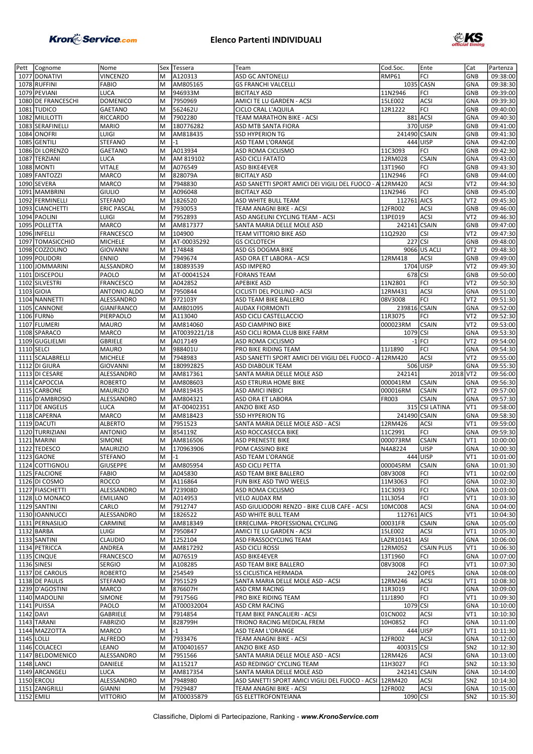

| Pett Cognome                 | Nome                             |        | Sex Tessera           | Team                                                     | Cod.Soc.            | Ente              | Cat                           | Partenza                                                                                                                                                                                     |
|------------------------------|----------------------------------|--------|-----------------------|----------------------------------------------------------|---------------------|-------------------|-------------------------------|----------------------------------------------------------------------------------------------------------------------------------------------------------------------------------------------|
| 1077 DONATIVI                | VINCENZO                         | M      | A120313               | <b>ASD GC ANTONELLI</b>                                  | RMP61               | FCI               | <b>GNB</b>                    | 09:38:00                                                                                                                                                                                     |
| 1078 RUFFINI                 | <b>FABIO</b>                     | lм     | AM805165              | <b>GS FRANCHI VALCELLI</b>                               |                     | 1035 CASN         | GNA                           | 09:38:30                                                                                                                                                                                     |
| 1079 PEVIANI                 | LUCA                             | M      | 946933M               | <b>BICITALY ASD</b>                                      | 11N2946             | FCI               | <b>GNB</b>                    | 09:39:00                                                                                                                                                                                     |
|                              | <b>DOMENICO</b>                  | Iм     | 7950969               | AMICI TE LU GARDEN - ACSI                                |                     | <b>ACSI</b>       | GNA                           | 09:39:30                                                                                                                                                                                     |
| 1080 DE FRANCESCHI           |                                  |        |                       |                                                          | 15LE002             |                   |                               |                                                                                                                                                                                              |
| 1081 TUDICO                  | GAETANO                          | M      | 562462U               | CICLO CRAL L'AQUILA                                      | 12R1222             | FCI               | GNB                           | 09:40:00                                                                                                                                                                                     |
| 1082 MILILOTTI               | RICCARDO                         | M      | 7902280               | TEAM MARATHON BIKE - ACSI                                |                     | 881 ACSI          | GNA                           | 09:40:30                                                                                                                                                                                     |
| 1083 SERAFINELLI             | <b>MARIO</b>                     | M      | 180776282             | ASD MTB SANTA FIORA                                      |                     | 370 UISP          | <b>GNB</b>                    | 09:41:00                                                                                                                                                                                     |
| 1084 ONOFRI                  | LUIGI                            | M      | AM818435              | <b>SSD HYPERION TG</b>                                   | 241490 CSAIN        |                   | GNB                           | 09:41:30                                                                                                                                                                                     |
| 1085 GENTILI                 | STEFANO                          | M      | $-1$                  | ASD TEAM L'ORANGE                                        |                     | 444 UISP          | <b>GNA</b>                    | 09:42:00                                                                                                                                                                                     |
| 1086 DI LORENZO              | <b>GAETANO</b>                   | M      | A013934               | ASD ROMA CICLISMO                                        | 11C3093             | FCI               | GNB                           | 09:42:30                                                                                                                                                                                     |
| 1087 TERZIANI                | LUCA                             | M      | AM 819102             | ASD CICLI FATATO                                         | 12RM028             | <b>CSAIN</b>      | <b>GNA</b>                    | 09:43:00                                                                                                                                                                                     |
| 1088 MONTI                   | <b>VITALE</b>                    | M      | A076549               | <b>ASD BIKE4EVER</b>                                     | 13T1960             | FCI               | GNB                           | 09:43:30                                                                                                                                                                                     |
| 1089 FANTOZZI                | MARCO                            | M      | 828079A               | <b>BICITALY ASD</b>                                      | 11N2946             | FCI               | <b>GNB</b>                    | 09:44:00                                                                                                                                                                                     |
| 1090 SEVERA                  | MARCO                            | M      | 7948830               | ASD SANETTI SPORT AMICI DEI VIGILI DEL FUOCO - A 12RM420 |                     | <b>ACSI</b>       | VT <sub>2</sub>               | 09:44:30                                                                                                                                                                                     |
| 1091 MAMBRINI                | <b>GIULIO</b>                    | M      | A096048               | <b>BICITALY ASD</b>                                      | 11N2946             | FCI               | <b>GNB</b>                    | 09:45:00                                                                                                                                                                                     |
| 1092 FERMINELLI              | <b>STEFANO</b>                   | Iм     | 1826520               | ASD WHITE BULL TEAM                                      | 112761 AICS         |                   | VT <sub>2</sub>               | 09:45:30                                                                                                                                                                                     |
| 1093 CIANCHETTI              | <b>ERIC PASCAL</b>               | Iм     | 7930053               | TEAM ANAGNI BIKE - ACSI                                  | 12FR002             | <b>ACSI</b>       | GNB                           | 09:46:00                                                                                                                                                                                     |
| 1094 PAOLINI                 | LUIGI                            | M      | 7952893               | ASD ANGELINI CYCLING TEAM - ACSI                         | 13PE019             | <b>ACSI</b>       | VT <sub>2</sub>               |                                                                                                                                                                                              |
|                              |                                  |        |                       |                                                          |                     |                   |                               | 09:46:30                                                                                                                                                                                     |
| 1095 POLLETTA                | MARCO                            | M      | AM817377              | SANTA MARIA DELLE MOLE ASD                               | 242141 CSAIN        |                   | GNB                           | 09:47:00                                                                                                                                                                                     |
| 1096 INFELLI                 | <b>FRANCESCO</b>                 | M      | 104900                | TEAM VITTORIO BIKE ASD                                   | 11Q2920             | <b>CSI</b>        | VT <sub>2</sub>               | 09:47:30                                                                                                                                                                                     |
| 1097 TOMASICCHIO             | <b>MICHELE</b>                   | M      | AT-00035292           | <b>GS CICLOTECH</b>                                      | 227 CSI             |                   | GNB                           | 09:48:00                                                                                                                                                                                     |
| 1098 COZZOLINO               | <b>GIOVANNI</b>                  | Iм     | 174848                | ASD GS DOGMA BIKE                                        |                     | 9066 US ACLI      | VT <sub>2</sub>               | 09:48:30                                                                                                                                                                                     |
| 1099 POLIDORI                | <b>ENNIO</b>                     | Iм     | 7949674               | ASD ORA ET LABORA - ACSI                                 | 12RM418             | <b>ACSI</b>       | GNB                           | 09:49:00                                                                                                                                                                                     |
| 1100 JOMMARINI               | <b>ALSSANDRO</b>                 | M      | 180893539             | <b>ASD IMPERO</b>                                        | 1704 UISP           |                   | VT <sub>2</sub>               | 09:49:30                                                                                                                                                                                     |
| 1101 DISCEPOLI               | PAOLO                            | M      | AT-00041524           | <b>FORANS TEAM</b>                                       | 678 CSI             |                   | GNB                           | 09:50:00                                                                                                                                                                                     |
| 1102 SILVESTRI               | <b>FRANCESCO</b>                 | M      | A042852               | <b>APEBIKE ASD</b>                                       | 11N2801             | FCI               | VT <sub>2</sub>               | 09:50:30                                                                                                                                                                                     |
| 1103 GIOIA                   | ANTONIO ALDO                     | M      | 7950844               | CICLISTI DEL POLLINO - ACSI                              | 12RM431             | <b>ACSI</b>       | GNA                           | 09:51:00                                                                                                                                                                                     |
| 1104 NANNETTI                | ALESSANDRO                       | lм     | 972103Y               | ASD TEAM BIKE BALLERO                                    | 08V3008             | FCI               | VT <sub>2</sub>               | 09:51:30                                                                                                                                                                                     |
| 1105 CANNONE                 | <b>GIANFRANCO</b>                | lм     | AM801095              | AUDAX FIORMONTI                                          | 239816 CSAIN        |                   | GNA                           | 09:52:00                                                                                                                                                                                     |
| 1106 FURNÒ                   | PIERPAOLO                        | M      | A113040               | ASD CICLI CASTELLACCIO                                   | 11R3075             | FCI               | VT <sub>2</sub>               | 09:52:30                                                                                                                                                                                     |
| 1107 FLUMERI                 | MAURO                            | M      | AM814060              | ASD CIAMPINO BIKE                                        | 000023RM            | <b>CSAIN</b>      | VT <sub>2</sub>               | 09:53:00                                                                                                                                                                                     |
|                              |                                  |        |                       |                                                          |                     |                   |                               |                                                                                                                                                                                              |
| 1108 SPARACO                 | MARCO                            | M      | AT0039221/18          | ASD CICLI ROMA CLUB BIKE FARM                            | 1079 CSI            |                   | GNA                           | 09:53:30                                                                                                                                                                                     |
| 1109 GUGLIELMI               | <b>GBRIELE</b>                   | M      | A017149               | ASD ROMA CICLISMO                                        |                     | $-1$ FCI          | VT <sub>2</sub>               | 09:54:00                                                                                                                                                                                     |
| 1110 SELCI                   | <b>MAURO</b>                     | M      | 988401U               | PRO BIKE RIDING TEAM                                     | 11J1890             | FCI               | GNA                           | 09:54:30                                                                                                                                                                                     |
| 1111 SCALABRELLI             | <b>MICHELE</b>                   | Iм     | 7948983               | ASD SANETTI SPORT AMICI DEI VIGILI DEL FUOCO - A 12RM420 |                     | <b>ACSI</b>       | VT <sub>2</sub>               | 09:55:00                                                                                                                                                                                     |
| 1112 DI GIURA                | <b>GIOVANNI</b>                  | M      | 180992825             | ASD DIABOLIK TEAM                                        |                     | 506 UISP          | GNA                           | 09:55:30                                                                                                                                                                                     |
| 1113 DI CESARE               | ALESSANDRO                       | M      | AM817361              | SANTA MARIA DELLE MOLE ASD                               | 242141              | 2018 VT2          |                               | 09:56:00                                                                                                                                                                                     |
| 1114 CAPOCCIA                | <b>ROBERTO</b>                   | M      | AM808603              | ASD ETRURIA HOME BIKE                                    | 000041RM            | <b>CSAIN</b>      | GNA                           | 09:56:30                                                                                                                                                                                     |
| 1115 CARBONE                 | <b>MAURIZIO</b>                  | M      | AM819435              | <b>ASD AMICI INBICI</b>                                  | 000016RM            | <b>CSAIN</b>      | VT <sub>2</sub>               | 09:57:00                                                                                                                                                                                     |
| 1116 D'AMBROSIO              | ALESSANDRO                       | M      | AM804321              | ASD ORA ET LABORA                                        | <b>FR003</b>        | <b>CSAIN</b>      | <b>GNA</b>                    | 09:57:30                                                                                                                                                                                     |
|                              |                                  |        |                       |                                                          |                     |                   |                               |                                                                                                                                                                                              |
|                              |                                  | lм     |                       |                                                          |                     |                   |                               |                                                                                                                                                                                              |
| 1117 DE ANGELIS              | LUCA                             |        | AT-00402351           | <b>ANZIO BIKE ASD</b>                                    |                     | 315 CSI LATINA    | VT1                           | 09:58:00                                                                                                                                                                                     |
| 1118 CAPERNA                 | MARCO                            | M      | AM818423              | <b>SSD HYPERION TG</b>                                   | 241490 CSAIN        |                   | GNA                           | 09:58:30                                                                                                                                                                                     |
| 1119 DACUTI                  | <b>ALBERTO</b>                   | M      | 7951523               | SANTA MARIA DELLE MOLE ASD - ACSI                        | 12RM426             | <b>ACSI</b>       | VT1                           |                                                                                                                                                                                              |
| 1120 TURRIZIANI              | <b>ANTONIO</b>                   | M      | 854119Z               | ASD ROCCASECCA BIKE                                      | 11C2991             | FCI               | GNA                           |                                                                                                                                                                                              |
| 1121 MARINI                  | <b>SIMONE</b>                    | M      | AM816506              | <b>ASD PRENESTE BIKE</b>                                 | 000073RM            | <b>CSAIN</b>      | VT1                           |                                                                                                                                                                                              |
| 1122 TEDESCO                 | <b>MAURIZIO</b>                  | M      | 170963906             | PDM CASSINO BIKE                                         | N4A8224             | <b>UISP</b>       | <b>GNA</b>                    |                                                                                                                                                                                              |
| 1123 GAONE                   | <b>STEFANO</b>                   | M      | $-1$                  | <b>ASD TEAM L'ORANGE</b>                                 |                     | 444 UISP          | VT1                           |                                                                                                                                                                                              |
| 1124 COTTIGNOLI              | GIUSEPPE                         | M      | AM805954              | ASD CICLI PETTA                                          | [000045RM           | CSAIN             | GNA                           |                                                                                                                                                                                              |
| 1125 FALCIONE                | <b>FABIO</b>                     | lм     | A045830               | ASD TEAM BIKE BALLERO                                    | 08V3008             | FCI               | VT1                           |                                                                                                                                                                                              |
| 1126 DI COSMO                | ROCCO                            | M      | A116864               | FUN BIKE ASD TWO WEELS                                   | 11M3063             | FCI               | <b>GNA</b>                    | 09:59:00<br>09:59:30<br>10:00:00<br>10:00:30<br>10:01:00<br>10:01:30<br>10:02:00<br>10:02:30                                                                                                 |
| 1127 FIASCHETTI              | ALESSANDRO                       | M      | 723908D               | ASD ROMA CICLISMO                                        | 11C3093             | FCI               | <b>GNA</b>                    |                                                                                                                                                                                              |
| 1128 LO MONACO               | <b>EMILIANO</b>                  | M      | A014953               | VELO AUDAX RM                                            | 11L3054             | FCI               | VT1                           |                                                                                                                                                                                              |
| 1129 SANTINI                 | CARLO                            | M      | 7912747               | ASD GIULIODORI RENZO - BIKE CLUB CAFE - ACSI             | 10MC008             | <b>ACSI</b>       | GNA                           | 10:03:00<br>10:03:30<br>10:04:00                                                                                                                                                             |
| 1130 IOANNUCCI               | ALESSANDRO                       | lм     | 1826522               | ASD WHITE BULL TEAM                                      | 112761 AICS         |                   | VT <sub>1</sub>               |                                                                                                                                                                                              |
| 1131 PERNASILIO              | CARMINE                          | M      | AM818349              | ERRECLIMA- PROFESSIONAL CYCLING                          | 00031FR             | <b>CSAIN</b>      | <b>GNA</b>                    | 10:04:30<br>10:05:00                                                                                                                                                                         |
| 1132 BARBA                   | <b>LUIGI</b>                     | M      | 7950847               | AMICI TE LU GARDEN - ACSI                                | 15LE002             | <b>ACSI</b>       | VT1                           | 10:05:30                                                                                                                                                                                     |
| 1133 SANTINI                 | CLAUDIO                          | M      | 1252104               | ASD FRASSOCYCLING TEAM                                   | LAZR10141           | ASI               | <b>GNA</b>                    |                                                                                                                                                                                              |
|                              |                                  | M      |                       |                                                          |                     | <b>CSAIN PLUS</b> | VT1                           | 10:06:00                                                                                                                                                                                     |
| 1134 PETRICCA                | ANDREA                           |        | AM817292              | <b>ASD CICLI ROSSI</b>                                   | 12RM052             |                   |                               |                                                                                                                                                                                              |
| 1135 CINQUE                  | <b>FRANCESCO</b>                 | M      | A076519               | <b>ASD BIKE4EVER</b>                                     | 13T1960             | FCI               | GNA                           |                                                                                                                                                                                              |
| 1136 SINESI                  | <b>SERGIO</b>                    | M      | A108285               | ASD TEAM BIKE BALLERO                                    | 08V3008             | FCI               | VT <sub>1</sub>               | 10:06:30<br>10:07:00<br>10:07:30                                                                                                                                                             |
| 1137 DE CAROLIS              | <b>ROBERTO</b>                   | M      | 254549                | SS CICLISTICA HERMADA                                    |                     | 242 OPES          | <b>GNA</b>                    |                                                                                                                                                                                              |
| 1138 DE PAULIS               | STEFANO                          | M      | 7951529               | SANTA MARIA DELLE MOLE ASD - ACSI                        | 12RM246             | <b>ACSI</b>       | VT1                           |                                                                                                                                                                                              |
| 1239 D'AGOSTINI              | MARCO                            | M      | 876607H               | ASD CRM RACING                                           | 11R3019             | FCI               | <b>GNA</b>                    |                                                                                                                                                                                              |
| 1140 MADOLINI                | <b>SIMONE</b>                    | M      | 791756G               | PRO BIKE RIDING TEAM                                     | 11J1890             | FCI               | VT1                           |                                                                                                                                                                                              |
| 1141 PUISSA                  | PAOLO                            | Iм     | AT00032004            | ASD CRM RACING                                           | 1079 CSI            |                   | <b>GNA</b>                    |                                                                                                                                                                                              |
| 1142 DAVI                    | GABRIELE                         | M      | 7914854               | TEAM BIKE PANCALIERI - ACSI                              | 01CN002             | <b>ACSI</b>       | VT1                           |                                                                                                                                                                                              |
| 1143 TARANI                  | <b>FABRIZIO</b>                  | M      | 828799H               | TRIONO RACING MEDICAL FREM                               | 10H0852             | FCI               | <b>GNA</b>                    |                                                                                                                                                                                              |
| 1144 MAZZOTTA                | MARCO                            | M      | $-1$                  | ASD TEAM L'ORANGE                                        |                     | 444 UISP          | VT1                           |                                                                                                                                                                                              |
| 1145 LOLLI                   | ALFREDO                          | M      | 7933476               | TEAM ANAGNI BIKE - ACSI                                  | 12FR002             | <b>ACSI</b>       | <b>GNA</b>                    |                                                                                                                                                                                              |
| 1146 COLACECI                | LEANO                            | M      | AT00401657            | ANZIO BIKE ASD                                           | 400315 CSI          |                   | SN <sub>2</sub>               |                                                                                                                                                                                              |
| 1147 BELDOMENICO             | ALESSANDRO                       | M      | 7951566               |                                                          | 12RM426             | <b>ACSI</b>       | GNA                           |                                                                                                                                                                                              |
|                              |                                  |        |                       | SANTA MARIA DELLE MOLE ASD - ACSI                        |                     |                   |                               |                                                                                                                                                                                              |
| 1148 LANCI                   | DANIELE                          | M      | A115217               | ASD REDINGO' CYCLING TEAM                                | 11H3027             | FCI               | SN <sub>2</sub>               |                                                                                                                                                                                              |
| 1149 ARCANGELI               | LUCA                             | M      | AM817354              | SANTA MARIA DELLE MOLE ASD                               | 242141 CSAIN        |                   | GNA                           |                                                                                                                                                                                              |
| 1150 ERCOLI                  | ALESSANDRO                       | M      | 7948980               | ASD SANETTI SPORT AMICI VIGILI DEL FUOCO - ACSI 12RM420  |                     | ACSI              | SN <sub>2</sub>               |                                                                                                                                                                                              |
| 1151 ZANGRILLI<br>1152 EMILI | <b>GIANNI</b><br><b>VITTORIO</b> | M<br>M | 7929487<br>AT00035879 | TEAM ANAGNI BIKE - ACSI<br><b>GS ELETTROFONTEIANA</b>    | 12FR002<br>1090 CSI | <b>ACSI</b>       | <b>GNA</b><br>SN <sub>2</sub> | 10:08:00<br>10:08:30<br>10:09:00<br>10:09:30<br>10:10:00<br>10:10:30<br>10:11:00<br>10:11:30<br>10:12:00<br>10:12:30<br>10:13:00<br>10:13:30<br>10:14:00<br>10:14:30<br>10:15:00<br>10:15:30 |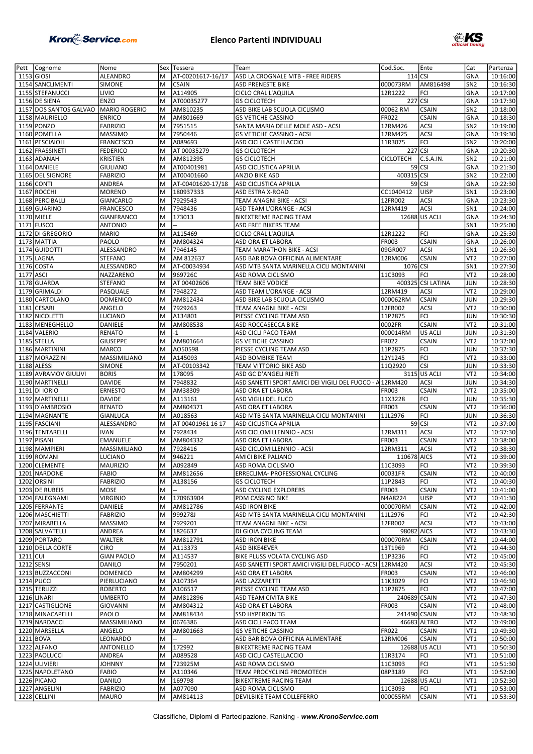

|          | Pett Cognome           | Nome              |     | Sex Tessera              | Team                                                     | Cod.Soc.             | Ente              | Cat             | Partenza |
|----------|------------------------|-------------------|-----|--------------------------|----------------------------------------------------------|----------------------|-------------------|-----------------|----------|
|          | 1153 GIOSI             | ALEANDRO          | M   | AT-00201617-16/17        | ASD LA CROGNALE MTB - FREE RIDERS                        | $114$ <sub>CSI</sub> |                   | GNA             | 10:16:00 |
|          | 1154 SANCLIMENTI       | <b>SIMONE</b>     | M   | <b>CSAIN</b>             | <b>ASD PRENESTE BIKE</b>                                 | 000073RM             | AM816498          | SN <sub>2</sub> | 10:16:30 |
|          | 1155 STEFANUCCI        | LIVIO             | M   | A114905                  | CICLO CRAL L'AQUILA                                      | 12R1222              | FCI               | GNA             | 10:17:00 |
|          | 1156 DE SIENA          | <b>ENZO</b>       | M   | AT00035277               | <b>GS CICLOTECH</b>                                      | 227 CSI              |                   | GNA             | 10:17:30 |
|          | 1157 DOS SANTOS GALVAO | MARIO ROGERIO     | M   | AM810235                 | ASD BIKE LAB SCUOLA CICLISMO                             | 00062 RM             | <b>CSAIN</b>      | SN <sub>2</sub> | 10:18:00 |
|          | 1158 MAURIELLO         | <b>ENRICO</b>     | M   | AM801669                 | <b>GS VETICHE CASSINO</b>                                | FR022                | <b>CSAIN</b>      | GNA             | 10:18:30 |
|          | 1159 PONZO             | <b>FABRIZIO</b>   | M   | 7951515                  | SANTA MARIA DELLE MOLE ASD - ACSI                        | 12RM426              | <b>ACSI</b>       | SN <sub>2</sub> | 10:19:00 |
|          | 1160 POMELLA           | MASSIMO           | M   | 7950446                  | <b>GS VETICHE CASSINO - ACSI</b>                         | 12RM425              | <b>ACSI</b>       | GNA             | 10:19:30 |
|          | 1161 PESCIAIOLI        | <b>FRANCESCO</b>  | M   | A089693                  | ASD CICLI CASTELLACCIO                                   | 11R3075              | FCI               | SN <sub>2</sub> | 10:20:00 |
|          | 1162 FRASSINETI        | <b>FEDERICO</b>   | M   | AT 00035279              | <b>GS CICLOTECH</b>                                      | 227 CSI              |                   | GNA             | 10:20:30 |
|          | 1163 ADANAH            | <b>KRISTIEN</b>   | M   | AM812395                 | <b>GS CICLOTECH</b>                                      | <b>CICLOTECH</b>     | C.S.A.IN.         | SN <sub>2</sub> | 10:21:00 |
|          | 1164 DANIELE           | <b>GIULIANO</b>   | M   | AT00401981               | ASD CICLISTICA APRILIA                                   |                      | 59 CSI            | GNA             | 10:21:30 |
|          | 1165 DEL SIGNORE       | <b>FABRIZIO</b>   | M   | AT00401660               | <b>ANZIO BIKE ASD</b>                                    | 400315 CSI           |                   | SN <sub>2</sub> | 10:22:00 |
|          | 1166 CONTI             | ANDREA            | M   | AT-00401620-17/18        | <b>ASD CICLISTICA APRILIA</b>                            |                      | 59 CSI            | GNA             | 10:22:30 |
|          | 1167 ROCCHI            | <b>MORENO</b>     | M   | 180937333                | ASD ESTRA X-ROAD                                         | CC1040412            | <b>UISP</b>       | SN <sub>1</sub> | 10:23:00 |
|          | 1168 PERCIBALLI        | GIANCARLO         | M   | 7929543                  | TEAM ANAGNI BIKE - ACSI                                  | 12FR002              | <b>ACSI</b>       | GNA             | 10:23:30 |
|          | 1169 GUARINO           | <b>FRANCESCO</b>  | M   | 7948436                  | ASD TEAM L'ORANGE - ACSI                                 | 12RM419              | <b>ACSI</b>       | SN <sub>1</sub> | 10:24:00 |
|          | 1170 MIELE             | GIANFRANCO        | M   | 173013                   | BIKEXTREME RACING TEAM                                   |                      | 12688 US ACLI     | GNA             | 10:24:30 |
|          | 1171 FUSCO             | ANTONIO           | M   | Ξ.                       | ASD FREE BIKERS TEAM                                     |                      |                   | SN <sub>1</sub> | 10:25:00 |
|          | 1172 DI GREGORIO       | <b>MARIO</b>      | M   | A115469                  | CICLO CRAL L'AQUILA                                      | 12R1222              | FCI               | GNA             | 10:25:30 |
|          | 1173 MATTIA            | PAOLO             | M   | AM804324                 | ASD ORA ET LABORA                                        | FR003                | <b>CSAIN</b>      | GNA             | 10:26:00 |
|          | 1174 GUIDOTTI          | ALESSANDRO        | м   | 7946145                  | TEAM MARATHON BIKE - ACSI                                | 09GR007              | <b>ACSI</b>       | SN <sub>1</sub> | 10:26:30 |
| 1175     | LAGNA                  | <b>STEFANO</b>    | M   | AM 812637                | ASD BAR BOVA OFFICINA ALIMENTARE                         | 12RM006              | <b>CSAIN</b>      | VT <sub>2</sub> | 10:27:00 |
|          | 1176 COSTA             | ALESSANDRO        | M   | AT-00034934              | ASD MTB SANTA MARINELLA CICLI MONTANINI                  | 1076 CSI             |                   | SN <sub>1</sub> | 10:27:30 |
| 1177     | <b>ASCI</b>            | NAZZARENO         | M   | 969726C                  | ASD ROMA CICLISMO                                        | 11C3093              | FCI               | VT <sub>2</sub> | 10:28:00 |
|          | 1178 GUARDA            | <b>STEFANO</b>    | M   | AT 00402606              | TEAM BIKE VODICE                                         |                      | 400325 CSI LATINA | <b>JUN</b>      | 10:28:30 |
|          | 1179 GRIMALDI          | PASQUALE          | M   | 7948272                  | ASD TEAM L'ORANGE - ACSI                                 | 12RM419              | <b>ACSI</b>       | VT <sub>2</sub> | 10:29:00 |
|          | 1180 CARTOLANO         | <b>DOMENICO</b>   | M   | AM812434                 | ASD BIKE LAB SCUOLA CICLISMO                             | 000062RM             | <b>CSAIN</b>      | <b>JUN</b>      | 10:29:30 |
|          | 1181 CESARI            | ANGELO            | M   | 7929263                  | TEAM ANAGNI BIKE - ACSI                                  | 12FR002              | <b>ACSI</b>       | VT <sub>2</sub> | 10:30:00 |
| 1182     | NICOLETTI              | LUCIANO           | M   | A134801                  | PIESSE CYCLING TEAM ASD                                  | 11P2875              | FCI               | <b>JUN</b>      | 10:30:30 |
|          | 1183 MENEGHELLO        | DANIELE           | M   | AM808538                 | ASD ROCCASECCA BIKE                                      | 0002FR               | <b>CSAIN</b>      | VT <sub>2</sub> | 10:31:00 |
|          | 1184 VALERIO           | <b>RENATO</b>     | M   | $-1$                     | ASD CICLI PACO TEAM                                      | 000014RM             | US ACLI           | <b>JUN</b>      | 10:31:30 |
|          | 1185 STELLA            | <b>GIUSEPPE</b>   | M   | AM801664                 | <b>GS VETICHE CASSINO</b>                                | FR022                | <b>CSAIN</b>      | VT <sub>2</sub> | 10:32:00 |
|          | 1186 MARTININI         | MARCO             | M   | AO50598                  | PIESSE CYCLING TEAM ASD                                  | 11P2875              | FCI               | <b>JUN</b>      | 10:32:30 |
|          | 1187 MORAZZINI         | MASSIMILIANO      | lм  | A145093                  | ASD BOMBIKE TEAM                                         | 12Y1245              | FCI               | VT <sub>2</sub> | 10:33:00 |
|          | 1188 ALESSI            | SIMONE            | M   | AT-00103342              | TEAM VITTORIO BIKE ASD                                   | 1102920              | <b>CSI</b>        | <b>JUN</b>      | 10:33:30 |
|          | 1189 AVRAMOV GIULIVI   | <b>BORIS</b>      | M   | 178095                   | ASD GC D'ANGELI RIETI                                    |                      | 3115 US ACLI      | VT <sub>2</sub> | 10:34:00 |
|          | 1190 MARTINELLI        | <b>DAVIDE</b>     | M   | 7948832                  | ASD SANETTI SPORT AMICI DEI VIGILI DEL FUOCO - A 12RM420 |                      | <b>ACSI</b>       | <b>JUN</b>      | 10:34:30 |
|          | 1191 DI IORIO          | <b>ERNESTO</b>    | M   | AM38309                  | ASD ORA ET LABORA                                        | FR003                | <b>CSAIN</b>      | VT <sub>2</sub> | 10:35:00 |
|          | 1192 MARTINELLI        | <b>DAVIDE</b>     | M   | A113161                  | ASD VIGILI DEL FUCO                                      | 11X3228              | FCI               | <b>JUN</b>      | 10:35:30 |
| 1193     | D'AMBROSIO             | <b>RENATO</b>     | M   | AM804371                 | ASD ORA ET LABORA                                        | FR003                | <b>CSAIN</b>      | VT <sub>2</sub> | 10:36:00 |
|          | 1194 MAGNANTE          | GIANLUCA          | M   | A018563                  | ASD MTB SANTA MARINELLA CICLI MONTANINI                  | 11L2976              | FCI               | <b>JUN</b>      | 10:36:30 |
| 1195     | FASCIANI               | ALESSANDRO        | M   | AT 00401961 16 17        | ASD CICLISTICA APRILIA                                   |                      | $59$ CSI          | VT <sub>2</sub> | 10:37:00 |
|          | 1196 TENTARELLI        | <b>IVAN</b>       | M   | 7928434                  | ASD CICLOMILLENNIO - ACSI                                | 12RM311              | <b>ACSI</b>       | VT <sub>2</sub> | 10:37:30 |
| 1197     | PISANI                 | EMANUELE          | M   | AM804332                 | ASD ORA ET LABORA                                        | FR003                | <b>CSAIN</b>      | VT <sub>2</sub> | 10:38:00 |
| 1198     | MAMPIERI               | MASSIMILIANO      | M   | 7928416                  | ASD CICLOMILLENNIO - ACSI                                | 12RM311              | <b>ACSI</b>       | VT <sub>2</sub> | 10:38:30 |
|          | 1199 ROMANI            | LUCIANO           | M   | 946221                   | AMICI BIKE PALIANO                                       | 110678 AICS          |                   | VT <sub>2</sub> | 10:39:00 |
|          | 1200 CLEMENTE          | MAURIZIO          | IM. | A092849                  | ASD ROMA CICLISMO                                        | 11C3093              | FCI               | IVT2            | 10:39:30 |
|          | 1201 NARDONE           | <b>FABIO</b>      | M   | AM812656                 | ERRECLIMA- PROFESSIONAL CYCLING                          | 00031FR              | <b>CSAIN</b>      | VT <sub>2</sub> | 10:40:00 |
|          | 1202 ORSINI            | <b>FABRIZIO</b>   | M   | A138156                  | <b>GS CICLOTECH</b>                                      | 11P2843              | FCI               | VT <sub>2</sub> | 10:40:30 |
|          | 1203 DE RUBEIS         | <b>MOSE</b>       | M   | ш.                       | ASD CYCLING EXPLORERS                                    | FR003                | <b>CSAIN</b>      | VT <sub>2</sub> | 10:41:00 |
|          | 1204 FALEGNAMI         | <b>VIRGINIO</b>   | M   | 170963904                | PDM CASSINO BIKE                                         | N4A8224              | <b>UISP</b>       | VT <sub>2</sub> | 10:41:30 |
|          | 1205 FERRANTE          | DANIELE           | M   | AM812786                 | <b>ASD IRON BIKE</b>                                     | 000070RM             | <b>CSAIN</b>      | VT <sub>2</sub> | 10:42:00 |
|          | 1206 MASCHIETTI        | <b>FABRIZIO</b>   | M   | 999278J                  | ASD MTB SANTA MARINELLA CICLI MONTANINI                  | 11L2976              | FCI               | VT <sub>2</sub> | 10:42:30 |
|          | 1207 MIRABELLA         | MASSIMO           | М   | 7929201                  | TEAM ANAGNI BIKE - ACSI                                  | 12FR002              | <b>ACSI</b>       | VT <sub>2</sub> | 10:43:00 |
|          | 1208 SALVATELLI        | ANDREA            | M   | 1826637                  | DI GIOIA CYCLING TEAM                                    | 98082 AICS           |                   | VT <sub>2</sub> | 10:43:30 |
|          | 1209 PORTARO           | WALTER            | M   | AM812791                 | <b>ASD IRON BIKE</b>                                     | 000070RM             | <b>CSAIN</b>      | VT <sub>2</sub> | 10:44:00 |
|          | 1210 DELLA CORTE       | <b>CIRO</b>       | M   | A113373                  | <b>ASD BIKE4EVER</b>                                     | 13T1969              | FCI               | VT <sub>2</sub> | 10:44:30 |
| 1211 CUI |                        | <b>GIAN PAOLO</b> | М   | A114537                  | BIKE PLUSS VOLATA CYCLING ASD                            | 11P3236              | FCI               | VT <sub>2</sub> | 10:45:00 |
|          | 1212 SENSI             | <b>DANILO</b>     | M   | 7950201                  | ASD SANETTI SPORT AMICI VIGILI DEL FUOCO - ACSI 12RM420  |                      | <b>ACSI</b>       | VT <sub>2</sub> | 10:45:30 |
|          | 1213 BUZZACCONI        | <b>DOMENICO</b>   | M   | AM804299                 | ASD ORA ET LABORA                                        | FR003                | <b>CSAIN</b>      | VT <sub>2</sub> | 10:46:00 |
|          | 1214 PUCCI             | PIERLUCIANO       | M   | A107364                  | ASD LAZZARETTI                                           | 11K3029              | FCI               | VT <sub>2</sub> | 10:46:30 |
|          | 1215 TERLIZZI          | <b>ROBERTO</b>    | M   | A106517                  | PIESSE CYCLING TEAM ASD                                  | 11P2875              | FCI               | VT <sub>2</sub> | 10:47:00 |
|          | 1216 LINARI            | <b>UMBERTO</b>    | M   | AM812896                 | ASD TEAM CIVITA BIKE                                     | 240689 CSAIN         |                   | VT <sub>2</sub> | 10:47:30 |
|          | 1217 CASTIGLIONE       | GIOVANNI          | м   | AM804312                 | ASD ORA ET LABORA                                        | FR003                | <b>CSAIN</b>      | VT <sub>2</sub> | 10:48:00 |
|          | 1218 MINACAPELLI       | PAOLO             | M   | AM818434                 | <b>SSD HYPERION TG</b>                                   | 241490 CSAIN         |                   | VT <sub>2</sub> | 10:48:30 |
|          | 1219 NARDACCI          | MASSIMILIANO      | М   | 0676386                  | ASD CICLI PACO TEAM                                      |                      | 46683 ALTRO       | VT <sub>2</sub> | 10:49:00 |
|          | 1220 MARSELLA          | ANGELO            | М   | AM801663                 | <b>GS VETICHE CASSINO</b>                                | FR022                | <b>CSAIN</b>      | VT1             | 10:49:30 |
|          | 1221 BOVA              | LEONARDO          | M   | $\overline{\phantom{a}}$ | ASD BAR BOVA OFFICINA ALIMENTARE                         | 12RM006              | <b>CSAIN</b>      | VT1             | 10:50:00 |
|          | 1222 ALFANO            | ANTONELLO         | M   | 172992                   | BIKEXTREME RACING TEAM                                   |                      | 12688 US ACLI     | VT <sub>1</sub> | 10:50:30 |
|          | 1223 PAOLUCCI          | ANDREA            | M   | A089528                  | ASD CICLI CASTELLACCIO                                   | 11R3174              | FCI               | VT <sub>1</sub> | 10:51:00 |
|          | 1224 ULIVIERI          | <b>JOHNNY</b>     | M   | 723925M                  | ASD ROMA CICLISMO                                        | 11C3093              | FCI               | VT1             | 10:51:30 |
|          | 1225 NAPOLETANO        | <b>FABIO</b>      | M   | A110346                  | TEAM PROCYCLING PROMOTECH                                | 08P3189              | FCI               | VT1             | 10:52:00 |
|          | 1226 PICANO            | DANILO            | M   | 169798                   | BIKEXTREME RACING TEAM                                   |                      | 12688 US ACLI     | VT1             | 10:52:30 |
|          | 1227 ANGELINI          | <b>FABRIZIO</b>   | M   | A077090                  | ASD ROMA CICLISMO                                        | 11C3093              | FCI               | VT <sub>1</sub> | 10:53:00 |
|          | 1228 CELLINI           | <b>MAURO</b>      | M   | AM814113                 | DEVILBIKE TEAM COLLEFERRO                                | 000055RM             | <b>CSAIN</b>      | VT <sub>1</sub> | 10:53:30 |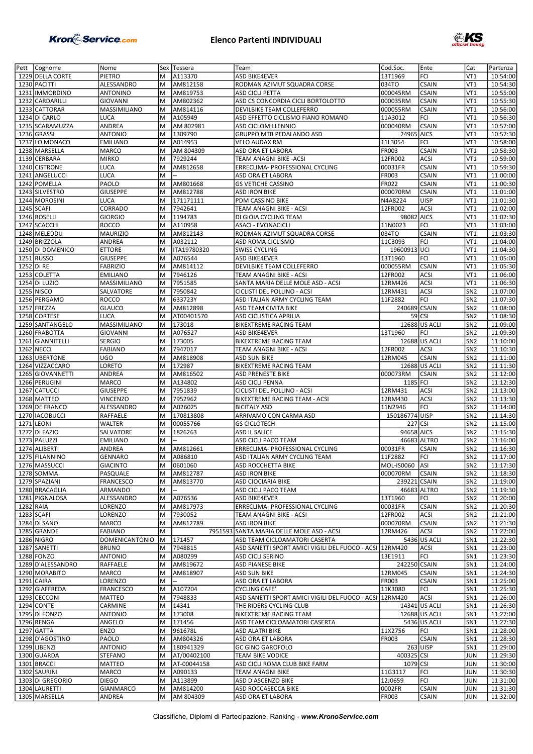

| Pett | Cognome           | Nome                  | Sex    | Tessera     | Team                                                    | Cod.Soc.        | Ente          | Cat                                | Partenza |
|------|-------------------|-----------------------|--------|-------------|---------------------------------------------------------|-----------------|---------------|------------------------------------|----------|
|      | 1229 DELLA CORTE  | PIETRO                | M      | A113370     | <b>ASD BIKE4EVER</b>                                    | 13T1969         | FCI           | VT1                                | 10:54:00 |
|      | 1230 PACITTI      | ALESSANDRO            | M      | AM812158    | RODMAN AZIMUT SQUADRA CORSE                             | 034TO           | <b>CSAIN</b>  | VT1                                | 10:54:30 |
|      | 1231 IMMORDINO    | <b>ANTONINO</b>       | M      | AM819753    | <b>ASD CICLI PETTA</b>                                  | 000045RM        | <b>CSAIN</b>  | VT1                                | 10:55:00 |
|      | 1232 CARDARILLI   | <b>GIOVANNI</b>       | M      | AM802362    | ASD CS CONCORDIA CICLI BORTOLOTTO                       | 000035RM        | <b>CSAIN</b>  | VT1                                | 10:55:30 |
|      | 1233 CATTORAR     | MASSIMILIANO          | M      | AM814116    | DEVILBIKE TEAM COLLEFERRO                               | 000055RM        | <b>CSAIN</b>  | VT1                                | 10:56:00 |
|      | 1234 DI CARLO     | LUCA                  | M      | A105949     | ASD EFFETTO CICLISMO FIANO ROMANO                       | 11A3012         | FCI           | VT1                                | 10:56:30 |
|      | 1235 SCARAMUZZA   | ANDREA                | M      | AM 802981   | ASD CICLOMILLENNIO                                      | 000040RM        | <b>CSAIN</b>  | VT1                                | 10:57:00 |
|      | 1236 GRASSI       | <b>ANTONIO</b>        | M      | 1309790     | GRUPPO MTB PEDALANDO ASD                                | 24965 AICS      |               | VT <sub>1</sub>                    | 10:57:30 |
|      | 1237 LO MONACO    | <b>EMILIANO</b>       | M      | A014953     | VELO AUDAX RM                                           | 11L3054         | FCI           | VT1                                | 10:58:00 |
|      | 1238 MARSELLA     | <b>MARCO</b>          | M      | AM 804309   | ASD ORA ET LABORA                                       | FR003           | <b>CSAIN</b>  | VT1                                | 10:58:30 |
|      | 1139 CERBARA      | <b>MIRKO</b>          | M      | 7929244     | TEAM ANAGNI BIKE -ACSI                                  | 12FR002         | <b>ACSI</b>   | VT1                                | 10:59:00 |
|      | 1240 CISTRONE     | <b>LUCA</b>           | M      | AM812658    | ERRECLIMA- PROFESSIONAL CYCLING                         | 00031FR         | <b>CSAIN</b>  | VT1                                | 10:59:30 |
|      | 1241 ANGELUCCI    | LUCA                  | M      | ш.          | ASD ORA ET LABORA                                       | FR003           | <b>CSAIN</b>  | VT1                                | 11:00:00 |
|      | 1242 POMELLA      | PAOLO                 | М      | AM801668    | <b>GS VETICHE CASSINO</b>                               | FR022           | <b>CSAIN</b>  | VT <sub>1</sub>                    | 11:00:30 |
|      | 1243 SILVESTRO    | <b>GIUSEPPE</b>       | M      | AM812788    | <b>ASD IRON BIKE</b>                                    | 000070RM        | <b>CSAIN</b>  | VT <sub>1</sub>                    | 11:01:00 |
|      | 1244 MOROSINI     | LUCA                  | M      | 171171111   | PDM CASSINO BIKE                                        | N4A8224         | <b>UISP</b>   | VT1                                | 11:01:30 |
|      | 1245 SCAFI        | CORRADO               | M      | 7942641     | TEAM ANAGNI BIKE - ACSI                                 | 12FR002         | <b>ACSI</b>   | VT1                                | 11:02:00 |
|      | 1246 ROSELLI      | <b>GIORGIO</b>        | M      | 1194783     | DI GIOIA CYCLING TEAM                                   | 98082           | <b>AICS</b>   | VT1                                | 11:02:30 |
|      | 1247 SCACCHI      | <b>ROCCO</b>          | M      | A110958     | <b>ASACI - EVONACICLI</b>                               | 11N0023         | FCI           | VT1                                | 11:03:00 |
|      | 1248 MELEDDU      | <b>MAURIZIO</b>       | M      | AM812143    | RODMAN AZIMUT SQUADRA CORSE                             | 034TO           | <b>CSAIN</b>  | VT1                                | 11:03:30 |
|      | 1249 BRIZZOLA     | ANDREA                | M      | A032112     | ASD ROMA CICLISMO                                       | 11C3093         | FCI           | VT1                                | 11:04:00 |
|      | 1250 DI DOMENICO  | <b>ETTORE</b>         | M      | ITA19780320 | SWISS CYCLING                                           | 19600913 UCI    |               | VT <sub>1</sub>                    | 11:04:30 |
|      | 1251 RUSSO        | <b>GIUSEPPE</b>       | M      | A076544     | ASD BIKE4EVER                                           | 13T1960         | FCI           | VT1                                | 11:05:00 |
|      | 1252 DI RE        | <b>FABRIZIO</b>       | M      | AM814112    | DEVILBIKE TEAM COLLEFERRO                               | 000055RM        | <b>CSAIN</b>  | VT1                                | 11:05:30 |
|      | 1253 COLETTA      | <b>EMILIANO</b>       | М      | 7946126     | TEAM ANAGNI BIKE - ACSI                                 | 12FR002         | <b>ACSI</b>   | VT1                                | 11:06:00 |
|      | 1254 DI LUZIO     | MASSIMILIANO          | M      | 7951585     | SANTA MARIA DELLE MOLE ASD - ACSI                       | 12RM426         | <b>ACSI</b>   | VT1                                | 11:06:30 |
|      | 1255 NISCO        | SALVATORE             | M      | 7950842     | CICLISTI DEL POLLINO - ACSI                             | 12RM431         | <b>ACSI</b>   | SN <sub>2</sub>                    | 11:07:00 |
|      | 1256 PERGAMO      | <b>ROCCO</b>          | M      | 633723Y     | ASD ITALIAN ARMY CYCLING TEAM                           | 11F2882         | FCI           | SN <sub>2</sub>                    | 11:07:30 |
|      | 1257 FREZZA       | <b>GLAUCO</b>         | M      | AM812898    | ASD TEAM CIVITA BIKE                                    | 240689          | <b>CSAIN</b>  | SN <sub>2</sub>                    | 11:08:00 |
|      | 1258 CORTESE      | LUCA                  | M      | AT00401570  | ASD CICLISTICA APRILIA                                  |                 | $59$ CSI      | SN <sub>2</sub>                    | 11:08:30 |
|      | 1259 SANTANGELO   | MASSIMILIANO          | M      | 173018      | BIKEXTREME RACING TEAM                                  |                 | 12688 US ACLI | SN <sub>2</sub>                    | 11:09:00 |
|      | 1260 FRABOTTA     | <b>GIOVANNI</b>       | M      | A076527     | <b>ASD BIKE4EVER</b>                                    | 13T1960         | FCI           | SN <sub>2</sub>                    | 11:09:30 |
|      | 1261 GIANNITELLI  | <b>SERGIO</b>         | M      | 173005      | <b>BIKEXTREME RACING TEAM</b>                           |                 | 12688 US ACLI | SN <sub>2</sub>                    | 11:10:00 |
|      | <b>1262 NECCI</b> | <b>FABIANO</b>        | M      | 7947017     | TEAM ANAGNI BIKE - ACSI                                 | 12FR002         | <b>ACSI</b>   | SN <sub>2</sub>                    | 11:10:30 |
|      | 1263 UBERTONE     | UGO                   | M      | AM818908    | ASD SUN BIKE                                            | 12RM045         | <b>CSAIN</b>  | SN <sub>2</sub>                    | 11:11:00 |
|      | 1264 VIZZACCARO   | LORETO                | М      | 172987      | BIKEXTREME RACING TEAM                                  |                 | 12688 US ACLI | SN <sub>2</sub>                    | 11:11:30 |
|      | 1265 GIOVANNETTI  | ANDREA                | M      | AM816502    | <b>ASD PRENESTE BIKE</b>                                | 000073RM        | <b>CSAIN</b>  | SN <sub>2</sub>                    | 11:12:00 |
|      | 1266 PERUGINI     | <b>MARCO</b>          | M      | A134802     | ASD CICLI PENNA                                         | 1185 FCI        |               | SN <sub>2</sub>                    | 11:12:30 |
|      | 1267 CATUCCI      | <b>GIUSEPPE</b>       | M      | 7951839     | CICLISTI DEL POLLINO - ACSI                             | 12RM431         | <b>ACSI</b>   | SN <sub>2</sub>                    | 11:13:00 |
|      | 1268 MATTEO       | <b>VINCENZO</b>       | M      | 7952962     | BIKEXTREME RACING TEAM - ACSI                           | 12RM430         | <b>ACSI</b>   | SN <sub>2</sub>                    | 11:13:30 |
|      | 1269 DE FRANCO    | ALESSANDRO            | M      | A026025     | <b>BICITALY ASD</b>                                     | 11N2946         | FCI           | SN <sub>2</sub>                    | 11:14:00 |
|      | 1270   IACOBUCCI  | RAFFAELE              | М      | 170813808   | ARRIVAMO CON CARMA ASD                                  | 150186774 UISP  |               | SN <sub>2</sub>                    | 11:14:30 |
|      | 1271 LEONI        | <b>WALTER</b>         | M      | 00055766    | <b>GS CICLOTECH</b>                                     | 227 CSI         |               | SN <sub>2</sub>                    | 11:15:00 |
|      | 1272 DI FAZIO     | SALVATORE             | M      | 1826263     | ASD IL SALICE                                           | 94658 AICS      |               | SN <sub>2</sub>                    | 11:15:30 |
|      | 1273 PALUZZI      | <b>EMILIANO</b>       | M      |             | ASD CICLI PACO TEAM                                     |                 | 46683 ALTRO   | SN <sub>2</sub>                    | 11:16:00 |
|      | 1274 ALIBERTI     | ANDREA                | M      | AM812661    | ERRECLIMA- PROFESSIONAL CYCLING                         | 00031FR         | <b>CSAIN</b>  | SN <sub>2</sub>                    | 11:16:30 |
|      | 1275 FILANNINO    | <b>GENNARO</b>        | M      | A086810     | ASD ITALIAN ARMY CYCLING TEAM                           | 11F2882         | FCI           | SN <sub>2</sub>                    | 11:17:00 |
|      | 1276 MASSUCCI     | <b>GIACINTO</b>       | IM.    | 0601060     | <b>ASD ROCCHETTA BIKE</b>                               | MOL-IS0060  ASI |               | SN <sub>2</sub>                    | 11:17:30 |
|      | 1278 SOMMA        | PASQUALE              | M      | AM812787    | <b>ASD IRON BIKE</b>                                    | 000070RM        | <b>CSAIN</b>  | SN <sub>2</sub>                    | 11:18:30 |
|      | 1279 SPAZIANI     | <b>FRANCESCO</b>      | М      | AM813770    | <b>ASD CIOCIARIA BIKE</b>                               | 239221 CSAIN    |               | SN <sub>2</sub>                    | 11:19:00 |
|      | 1280 BRACAGLIA    | ARMANDO               | М      | н.          | ASD CICLI PACO TEAM                                     |                 | 46683 ALTRO   | SN <sub>2</sub>                    | 11:19:30 |
|      | 1281 PIGNALOSA    | ALESSANDRO            | M      | A076536     | <b>ASD BIKE4EVER</b>                                    | 13T1960         | FCI           | SN <sub>2</sub>                    | 11:20:00 |
|      | 1282 RAIA         | LORENZO               | M      | AM817973    | ERRECLIMA- PROFESSIONAL CYCLING                         | 00031FR         | <b>CSAIN</b>  | SN <sub>2</sub>                    | 11:20:30 |
|      | 1283 SCAFI        | LORENZO               | M      | 7930052     | TEAM ANAGNI BIKE - ACSI                                 | 12FR002         | <b>ACSI</b>   | SN <sub>2</sub>                    | 11:21:00 |
|      | 1284 DI SANO      | <b>MARCO</b>          | M      | AM812789    | <b>ASD IRON BIKE</b>                                    | 000070RM        | <b>CSAIN</b>  | SN <sub>2</sub>                    | 11:21:30 |
|      | 1285 GRANDE       | <b>FABIANO</b>        | M      |             | 7951593 SANTA MARIA DELLE MOLE ASD - ACSI               | 12RM426         | ACSI          | SN <sub>2</sub>                    | 11:22:00 |
|      | 1286 NIGRO        | <b>DOMENICANTONIO</b> | M      | 171457      | ASD TEAM CICLOAMATORI CASERTA                           |                 | 5436 US ACLI  | SN <sub>1</sub>                    | 11:22:30 |
|      | 1287 SANETTI      | <b>BRUNO</b>          | M      | 7948815     | ASD SANETTI SPORT AMICI VIGILI DEL FUOCO - ACSI 12RM420 |                 | <b>ACSI</b>   | SN <sub>1</sub>                    | 11:23:00 |
|      | 1288 FONZO        | <b>ANTONIO</b>        | M      | A080299     | ASD CICLI SERINO                                        | 13E1911         | FCI           | SN <sub>1</sub>                    | 11:23:30 |
|      | 1289 D'ALESSANDRO | RAFFAELE              | М      | AM819672    | <b>ASD PIANESE BIKE</b>                                 | 242250 CSAIN    |               | SN <sub>1</sub>                    | 11:24:00 |
|      | 1290 MORABITO     | MARCO                 | М      | AM818907    | ASD SUN BIKE                                            | 12RM045         | <b>CSAIN</b>  | SN <sub>1</sub>                    | 11:24:30 |
|      | 1291 CAIRA        | LORENZO               | M      | ш.          | ASD ORA ET LABORA                                       | <b>FR003</b>    | <b>CSAIN</b>  | SN <sub>1</sub>                    | 11:25:00 |
|      | 1292 GIAFFREDA    | <b>FRANCESCO</b>      | M      | A107204     | <b>CYCLING CAFE'</b>                                    | 11K3080         | FCI           | SN <sub>1</sub>                    | 11:25:30 |
|      | 1293 CECCONI      | <b>MATTEO</b>         | M      | 7948833     | ASD SANETTI SPORT AMICI VIGILI DEL FUOCO - ACSI 12RM420 |                 | ACSI          | SN <sub>1</sub>                    | 11:26:00 |
|      | 1294 CONTE        |                       | M      | 14341       |                                                         |                 | 14341 US ACLI | SN <sub>1</sub>                    | 11:26:30 |
|      | 1295 DI FONZO     | CARMINE<br>ANTONIO    | М      | 173008      | THE RIDERS CYCLING CLUB<br>BIKEXTREME RACING TEAM       |                 | 12688 US ACLI | SN <sub>1</sub>                    | 11:27:00 |
|      |                   |                       |        | 171456      |                                                         |                 |               | SN <sub>1</sub>                    |          |
|      | 1296 RENGA        | ANGELO                | M      |             | ASD TEAM CICLOAMATORI CASERTA                           |                 | 5436 US ACLI  |                                    | 11:27:30 |
|      | 1297 GATTA        | <b>ENZO</b><br>PAOLO  | M      | 961678L     | ASD ALATRI BIKE                                         | 11X2756         | FCI           | SN <sub>1</sub><br>SN <sub>1</sub> | 11:28:00 |
|      | 1298 D'AGOSTINO   |                       | M      | AM804326    | ASD ORA ET LABORA                                       | <b>FR003</b>    | <b>CSAIN</b>  |                                    | 11:28:30 |
|      | 1299 LIBENZI      | <b>ANTONIO</b>        | м<br>M | 180941329   | <b>GC GINO GAROFOLO</b>                                 |                 | $263$ UISP    | SN <sub>1</sub><br><b>JUN</b>      | 11:29:00 |
|      | 1300 GUARDA       | <b>STEFANO</b>        |        | AT/00402100 | TEAM BIKE VODICE                                        | 400325 CSI      |               |                                    | 11:29:30 |
|      | 1301 BRACCI       | MATTEO                | M      | AT-00044158 | ASD CICLI ROMA CLUB BIKE FARM                           | 1079 CSI        |               | <b>JUN</b>                         | 11:30:00 |
|      | 1302 SAURINI      | MARCO                 | М      | A090133     | TEAM ANAGNI BIKE                                        | 11G3117         | FCI           | JUN                                | 11:30:30 |
|      | 1303 DI GREGORIO  | <b>DIEGO</b>          | M      | A113899     | ASD D'ASCENZO BIKE                                      | 12J0659         | FCI           | JUN                                | 11:31:00 |
|      | 1304 LAURETTI     | GIANMARCO             | М      | AM814200    | ASD ROCCASECCA BIKE                                     | 0002FR          | <b>CSAIN</b>  | JUN                                | 11:31:30 |
|      | 1305 MARSELLA     | ANDREA                | M      | AM 804309   | ASD ORA ET LABORA                                       | <b>FR003</b>    | <b>CSAIN</b>  | JUN                                | 11:32:00 |